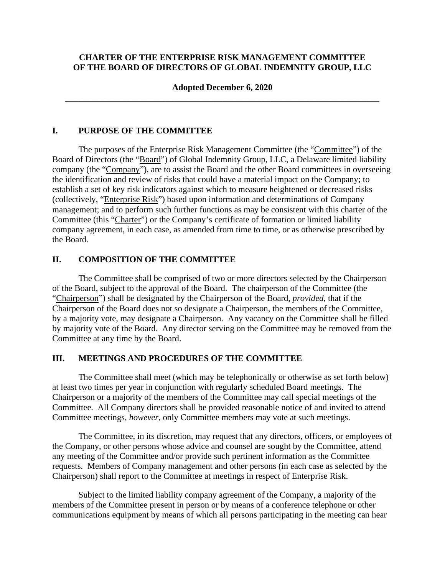## **CHARTER OF THE ENTERPRISE RISK MANAGEMENT COMMITTEE OF THE BOARD OF DIRECTORS OF GLOBAL INDEMNITY GROUP, LLC**

## **Adopted December 6, 2020**  \_\_\_\_\_\_\_\_\_\_\_\_\_\_\_\_\_\_\_\_\_\_\_\_\_\_\_\_\_\_\_\_\_\_\_\_\_\_\_\_\_\_\_\_\_\_\_\_\_\_\_\_\_\_\_\_\_\_\_\_\_\_\_\_\_\_\_\_\_\_\_\_

## **I. PURPOSE OF THE COMMITTEE**

The purposes of the Enterprise Risk Management Committee (the "Committee") of the Board of Directors (the "Board") of Global Indemnity Group, LLC, a Delaware limited liability company (the "Company"), are to assist the Board and the other Board committees in overseeing the identification and review of risks that could have a material impact on the Company; to establish a set of key risk indicators against which to measure heightened or decreased risks (collectively, "Enterprise Risk") based upon information and determinations of Company management; and to perform such further functions as may be consistent with this charter of the Committee (this "Charter") or the Company's certificate of formation or limited liability company agreement, in each case, as amended from time to time, or as otherwise prescribed by the Board.

## **II. COMPOSITION OF THE COMMITTEE**

The Committee shall be comprised of two or more directors selected by the Chairperson of the Board, subject to the approval of the Board. The chairperson of the Committee (the "Chairperson") shall be designated by the Chairperson of the Board, *provided*, that if the Chairperson of the Board does not so designate a Chairperson, the members of the Committee, by a majority vote, may designate a Chairperson. Any vacancy on the Committee shall be filled by majority vote of the Board. Any director serving on the Committee may be removed from the Committee at any time by the Board.

#### **III. MEETINGS AND PROCEDURES OF THE COMMITTEE**

The Committee shall meet (which may be telephonically or otherwise as set forth below) at least two times per year in conjunction with regularly scheduled Board meetings. The Chairperson or a majority of the members of the Committee may call special meetings of the Committee. All Company directors shall be provided reasonable notice of and invited to attend Committee meetings, *however*, only Committee members may vote at such meetings.

The Committee, in its discretion, may request that any directors, officers, or employees of the Company, or other persons whose advice and counsel are sought by the Committee, attend any meeting of the Committee and/or provide such pertinent information as the Committee requests. Members of Company management and other persons (in each case as selected by the Chairperson) shall report to the Committee at meetings in respect of Enterprise Risk.

Subject to the limited liability company agreement of the Company, a majority of the members of the Committee present in person or by means of a conference telephone or other communications equipment by means of which all persons participating in the meeting can hear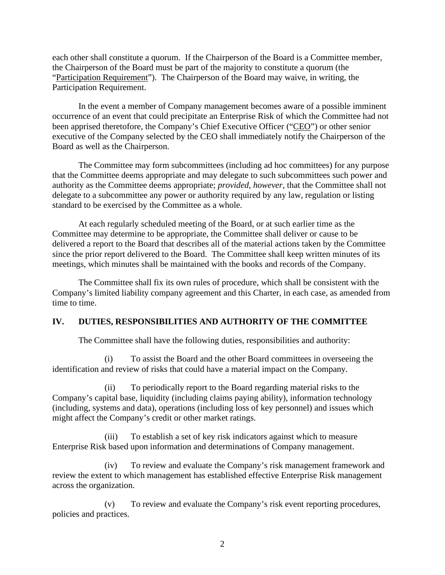each other shall constitute a quorum. If the Chairperson of the Board is a Committee member, the Chairperson of the Board must be part of the majority to constitute a quorum (the "Participation Requirement"). The Chairperson of the Board may waive, in writing, the Participation Requirement.

In the event a member of Company management becomes aware of a possible imminent occurrence of an event that could precipitate an Enterprise Risk of which the Committee had not been apprised theretofore, the Company's Chief Executive Officer ("CEO") or other senior executive of the Company selected by the CEO shall immediately notify the Chairperson of the Board as well as the Chairperson.

The Committee may form subcommittees (including ad hoc committees) for any purpose that the Committee deems appropriate and may delegate to such subcommittees such power and authority as the Committee deems appropriate; *provided*, *however*, that the Committee shall not delegate to a subcommittee any power or authority required by any law, regulation or listing standard to be exercised by the Committee as a whole.

At each regularly scheduled meeting of the Board, or at such earlier time as the Committee may determine to be appropriate, the Committee shall deliver or cause to be delivered a report to the Board that describes all of the material actions taken by the Committee since the prior report delivered to the Board. The Committee shall keep written minutes of its meetings, which minutes shall be maintained with the books and records of the Company.

The Committee shall fix its own rules of procedure, which shall be consistent with the Company's limited liability company agreement and this Charter, in each case, as amended from time to time.

# **IV. DUTIES, RESPONSIBILITIES AND AUTHORITY OF THE COMMITTEE**

The Committee shall have the following duties, responsibilities and authority:

(i) To assist the Board and the other Board committees in overseeing the identification and review of risks that could have a material impact on the Company.

(ii) To periodically report to the Board regarding material risks to the Company's capital base, liquidity (including claims paying ability), information technology (including, systems and data), operations (including loss of key personnel) and issues which might affect the Company's credit or other market ratings.

(iii) To establish a set of key risk indicators against which to measure Enterprise Risk based upon information and determinations of Company management.

(iv) To review and evaluate the Company's risk management framework and review the extent to which management has established effective Enterprise Risk management across the organization.

(v) To review and evaluate the Company's risk event reporting procedures, policies and practices.